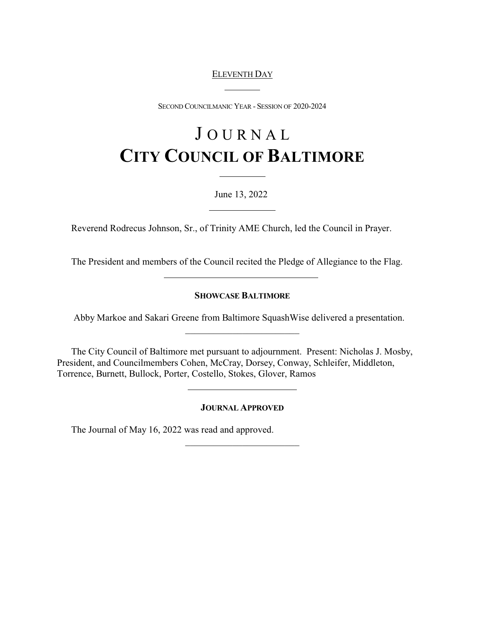# ELEVENTH DAY

 $\overline{a}$ 

SECOND COUNCILMANIC YEAR - SESSION OF 2020-2024

# J O U R N A L **CITY COUNCIL OF BALTIMORE**

June 13, 2022

Reverend Rodrecus Johnson, Sr., of Trinity AME Church, led the Council in Prayer.

 $\overline{a}$ 

The President and members of the Council recited the Pledge of Allegiance to the Flag.

## **SHOWCASE BALTIMORE**

 Abby Markoe and Sakari Greene from Baltimore SquashWise delivered a presentation. \_\_\_\_\_\_\_\_\_\_\_\_\_\_\_\_\_\_\_\_\_\_\_\_

The City Council of Baltimore met pursuant to adjournment. Present: Nicholas J. Mosby, President, and Councilmembers Cohen, McCray, Dorsey, Conway, Schleifer, Middleton, Torrence, Burnett, Bullock, Porter, Costello, Stokes, Glover, Ramos

**JOURNAL APPROVED**

\_\_\_\_\_\_\_\_\_\_\_\_\_\_\_\_\_\_\_\_\_\_\_\_

The Journal of May 16, 2022 was read and approved.

 $\overline{a}$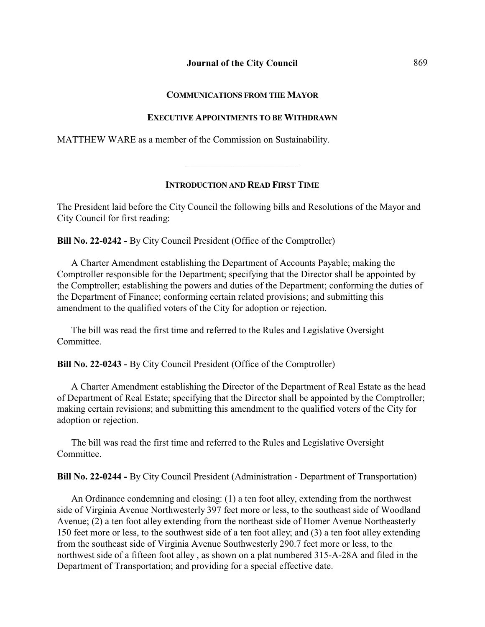#### **COMMUNICATIONS FROM THE MAYOR**

#### **EXECUTIVE APPOINTMENTS TO BE WITHDRAWN**

MATTHEW WARE as a member of the Commission on Sustainability.

#### **INTRODUCTION AND READ FIRST TIME**

\_\_\_\_\_\_\_\_\_\_\_\_\_\_\_\_\_\_\_\_\_\_\_\_

The President laid before the City Council the following bills and Resolutions of the Mayor and City Council for first reading:

**Bill No. 22-0242 -** By City Council President (Office of the Comptroller)

A Charter Amendment establishing the Department of Accounts Payable; making the Comptroller responsible for the Department; specifying that the Director shall be appointed by the Comptroller; establishing the powers and duties of the Department; conforming the duties of the Department of Finance; conforming certain related provisions; and submitting this amendment to the qualified voters of the City for adoption or rejection.

The bill was read the first time and referred to the Rules and Legislative Oversight **Committee** 

**Bill No. 22-0243 -** By City Council President (Office of the Comptroller)

A Charter Amendment establishing the Director of the Department of Real Estate as the head of Department of Real Estate; specifying that the Director shall be appointed by the Comptroller; making certain revisions; and submitting this amendment to the qualified voters of the City for adoption or rejection.

The bill was read the first time and referred to the Rules and Legislative Oversight Committee.

**Bill No. 22-0244 -** By City Council President (Administration - Department of Transportation)

An Ordinance condemning and closing: (1) a ten foot alley, extending from the northwest side of Virginia Avenue Northwesterly 397 feet more or less, to the southeast side of Woodland Avenue; (2) a ten foot alley extending from the northeast side of Homer Avenue Northeasterly 150 feet more or less, to the southwest side of a ten foot alley; and (3) a ten foot alley extending from the southeast side of Virginia Avenue Southwesterly 290.7 feet more or less, to the northwest side of a fifteen foot alley , as shown on a plat numbered 315-A-28A and filed in the Department of Transportation; and providing for a special effective date.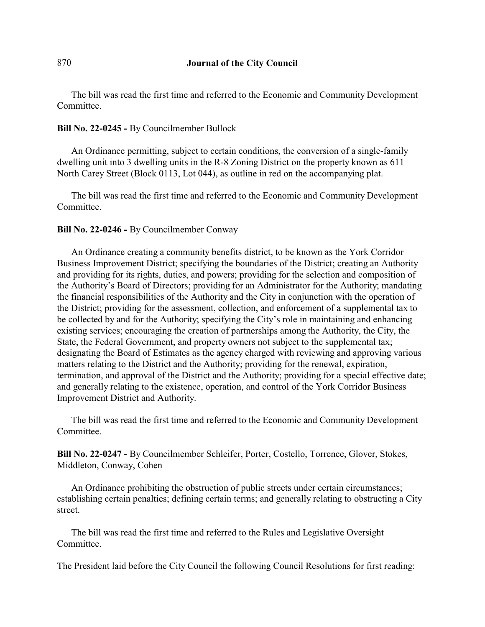The bill was read the first time and referred to the Economic and Community Development Committee.

# **Bill No. 22-0245 -** By Councilmember Bullock

An Ordinance permitting, subject to certain conditions, the conversion of a single-family dwelling unit into 3 dwelling units in the R-8 Zoning District on the property known as 611 North Carey Street (Block 0113, Lot 044), as outline in red on the accompanying plat.

The bill was read the first time and referred to the Economic and Community Development Committee.

# **Bill No. 22-0246 -** By Councilmember Conway

An Ordinance creating a community benefits district, to be known as the York Corridor Business Improvement District; specifying the boundaries of the District; creating an Authority and providing for its rights, duties, and powers; providing for the selection and composition of the Authority's Board of Directors; providing for an Administrator for the Authority; mandating the financial responsibilities of the Authority and the City in conjunction with the operation of the District; providing for the assessment, collection, and enforcement of a supplemental tax to be collected by and for the Authority; specifying the City's role in maintaining and enhancing existing services; encouraging the creation of partnerships among the Authority, the City, the State, the Federal Government, and property owners not subject to the supplemental tax; designating the Board of Estimates as the agency charged with reviewing and approving various matters relating to the District and the Authority; providing for the renewal, expiration, termination, and approval of the District and the Authority; providing for a special effective date; and generally relating to the existence, operation, and control of the York Corridor Business Improvement District and Authority.

The bill was read the first time and referred to the Economic and Community Development Committee.

**Bill No. 22-0247 -** By Councilmember Schleifer, Porter, Costello, Torrence, Glover, Stokes, Middleton, Conway, Cohen

An Ordinance prohibiting the obstruction of public streets under certain circumstances; establishing certain penalties; defining certain terms; and generally relating to obstructing a City street.

The bill was read the first time and referred to the Rules and Legislative Oversight Committee.

The President laid before the City Council the following Council Resolutions for first reading: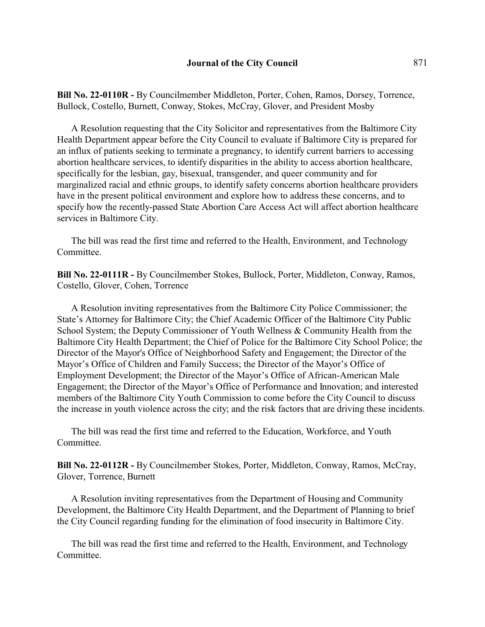**Bill No. 22-0110R -** By Councilmember Middleton, Porter, Cohen, Ramos, Dorsey, Torrence, Bullock, Costello, Burnett, Conway, Stokes, McCray, Glover, and President Mosby

A Resolution requesting that the City Solicitor and representatives from the Baltimore City Health Department appear before the City Council to evaluate if Baltimore City is prepared for an influx of patients seeking to terminate a pregnancy, to identify current barriers to accessing abortion healthcare services, to identify disparities in the ability to access abortion healthcare, specifically for the lesbian, gay, bisexual, transgender, and queer community and for marginalized racial and ethnic groups, to identify safety concerns abortion healthcare providers have in the present political environment and explore how to address these concerns, and to specify how the recently-passed State Abortion Care Access Act will affect abortion healthcare services in Baltimore City.

The bill was read the first time and referred to the Health, Environment, and Technology **Committee** 

**Bill No. 22-0111R -** By Councilmember Stokes, Bullock, Porter, Middleton, Conway, Ramos, Costello, Glover, Cohen, Torrence

A Resolution inviting representatives from the Baltimore City Police Commissioner; the State's Attorney for Baltimore City; the Chief Academic Officer of the Baltimore City Public School System; the Deputy Commissioner of Youth Wellness & Community Health from the Baltimore City Health Department; the Chief of Police for the Baltimore City School Police; the Director of the Mayor's Office of Neighborhood Safety and Engagement; the Director of the Mayor's Office of Children and Family Success; the Director of the Mayor's Office of Employment Development; the Director of the Mayor's Office of African-American Male Engagement; the Director of the Mayor's Office of Performance and Innovation; and interested members of the Baltimore City Youth Commission to come before the City Council to discuss the increase in youth violence across the city; and the risk factors that are driving these incidents.

The bill was read the first time and referred to the Education, Workforce, and Youth Committee.

**Bill No. 22-0112R -** By Councilmember Stokes, Porter, Middleton, Conway, Ramos, McCray, Glover, Torrence, Burnett

A Resolution inviting representatives from the Department of Housing and Community Development, the Baltimore City Health Department, and the Department of Planning to brief the City Council regarding funding for the elimination of food insecurity in Baltimore City.

The bill was read the first time and referred to the Health, Environment, and Technology Committee.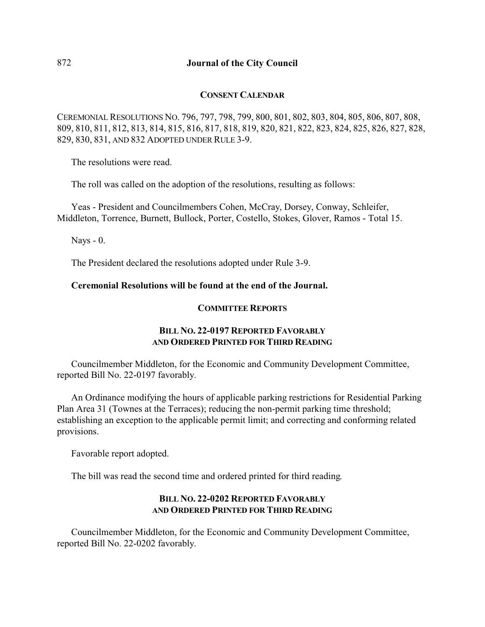## **CONSENT CALENDAR**

CEREMONIAL RESOLUTIONS NO. 796, 797, 798, 799, 800, 801, 802, 803, 804, 805, 806, 807, 808, 809, 810, 811, 812, 813, 814, 815, 816, 817, 818, 819, 820, 821, 822, 823, 824, 825, 826, 827, 828, 829, 830, 831, AND 832 ADOPTED UNDER RULE 3-9.

The resolutions were read.

The roll was called on the adoption of the resolutions, resulting as follows:

Yeas - President and Councilmembers Cohen, McCray, Dorsey, Conway, Schleifer, Middleton, Torrence, Burnett, Bullock, Porter, Costello, Stokes, Glover, Ramos - Total 15.

Nays - 0.

The President declared the resolutions adopted under Rule 3-9.

## **Ceremonial Resolutions will be found at the end of the Journal.**

## **COMMITTEE REPORTS**

# **BILL NO. 22-0197 REPORTED FAVORABLY AND ORDERED PRINTED FOR THIRD READING**

Councilmember Middleton, for the Economic and Community Development Committee, reported Bill No. 22-0197 favorably.

An Ordinance modifying the hours of applicable parking restrictions for Residential Parking Plan Area 31 (Townes at the Terraces); reducing the non-permit parking time threshold; establishing an exception to the applicable permit limit; and correcting and conforming related provisions.

Favorable report adopted.

The bill was read the second time and ordered printed for third reading.

# **BILL NO. 22-0202 REPORTED FAVORABLY AND ORDERED PRINTED FOR THIRD READING**

Councilmember Middleton, for the Economic and Community Development Committee, reported Bill No. 22-0202 favorably.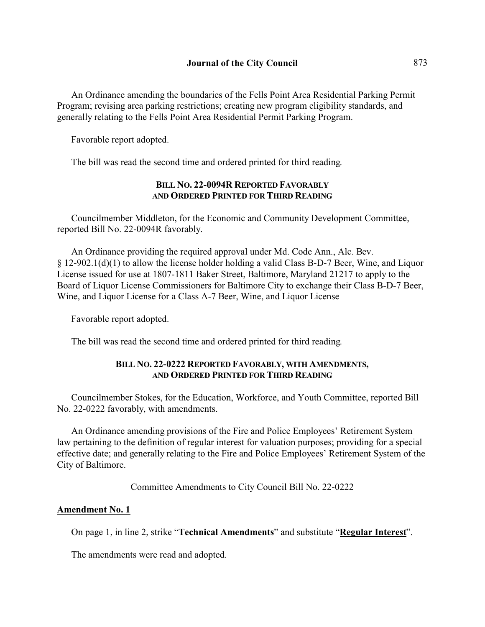An Ordinance amending the boundaries of the Fells Point Area Residential Parking Permit Program; revising area parking restrictions; creating new program eligibility standards, and generally relating to the Fells Point Area Residential Permit Parking Program.

Favorable report adopted.

The bill was read the second time and ordered printed for third reading.

# **BILL NO. 22-0094R REPORTED FAVORABLY AND ORDERED PRINTED FOR THIRD READING**

Councilmember Middleton, for the Economic and Community Development Committee, reported Bill No. 22-0094R favorably.

An Ordinance providing the required approval under Md. Code Ann., Alc. Bev. § 12-902.1(d)(1) to allow the license holder holding a valid Class B-D-7 Beer, Wine, and Liquor License issued for use at 1807-1811 Baker Street, Baltimore, Maryland 21217 to apply to the Board of Liquor License Commissioners for Baltimore City to exchange their Class B-D-7 Beer, Wine, and Liquor License for a Class A-7 Beer, Wine, and Liquor License

Favorable report adopted.

The bill was read the second time and ordered printed for third reading.

# **BILL NO. 22-0222 REPORTED FAVORABLY, WITH AMENDMENTS, AND ORDERED PRINTED FOR THIRD READING**

Councilmember Stokes, for the Education, Workforce, and Youth Committee, reported Bill No. 22-0222 favorably, with amendments.

An Ordinance amending provisions of the Fire and Police Employees' Retirement System law pertaining to the definition of regular interest for valuation purposes; providing for a special effective date; and generally relating to the Fire and Police Employees' Retirement System of the City of Baltimore.

Committee Amendments to City Council Bill No. 22-0222

## **Amendment No. 1**

On page 1, in line 2, strike "**Technical Amendments**" and substitute "**Regular Interest**".

The amendments were read and adopted.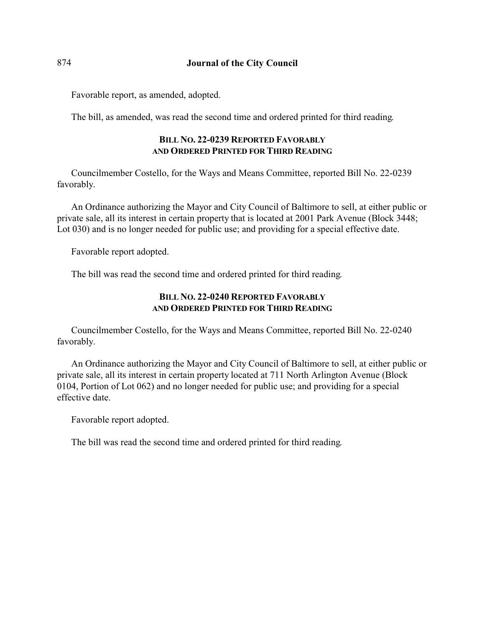Favorable report, as amended, adopted.

The bill, as amended, was read the second time and ordered printed for third reading.

# **BILL NO. 22-0239 REPORTED FAVORABLY AND ORDERED PRINTED FOR THIRD READING**

Councilmember Costello, for the Ways and Means Committee, reported Bill No. 22-0239 favorably.

An Ordinance authorizing the Mayor and City Council of Baltimore to sell, at either public or private sale, all its interest in certain property that is located at 2001 Park Avenue (Block 3448; Lot 030) and is no longer needed for public use; and providing for a special effective date.

Favorable report adopted.

The bill was read the second time and ordered printed for third reading.

# **BILL NO. 22-0240 REPORTED FAVORABLY AND ORDERED PRINTED FOR THIRD READING**

Councilmember Costello, for the Ways and Means Committee, reported Bill No. 22-0240 favorably.

An Ordinance authorizing the Mayor and City Council of Baltimore to sell, at either public or private sale, all its interest in certain property located at 711 North Arlington Avenue (Block 0104, Portion of Lot 062) and no longer needed for public use; and providing for a special effective date.

Favorable report adopted.

The bill was read the second time and ordered printed for third reading.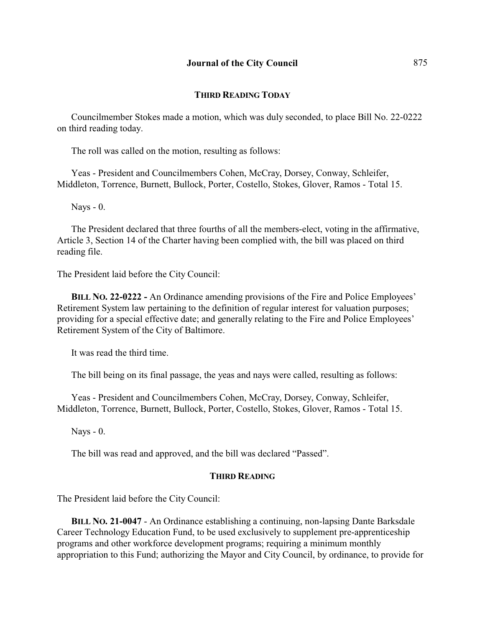### **THIRD READING TODAY**

Councilmember Stokes made a motion, which was duly seconded, to place Bill No. 22-0222 on third reading today.

The roll was called on the motion, resulting as follows:

Yeas - President and Councilmembers Cohen, McCray, Dorsey, Conway, Schleifer, Middleton, Torrence, Burnett, Bullock, Porter, Costello, Stokes, Glover, Ramos - Total 15.

Nays - 0.

The President declared that three fourths of all the members-elect, voting in the affirmative, Article 3, Section 14 of the Charter having been complied with, the bill was placed on third reading file.

The President laid before the City Council:

**BILL NO. 22-0222 -** An Ordinance amending provisions of the Fire and Police Employees' Retirement System law pertaining to the definition of regular interest for valuation purposes; providing for a special effective date; and generally relating to the Fire and Police Employees' Retirement System of the City of Baltimore.

It was read the third time.

The bill being on its final passage, the yeas and nays were called, resulting as follows:

Yeas - President and Councilmembers Cohen, McCray, Dorsey, Conway, Schleifer, Middleton, Torrence, Burnett, Bullock, Porter, Costello, Stokes, Glover, Ramos - Total 15.

Nays - 0.

The bill was read and approved, and the bill was declared "Passed".

#### **THIRD READING**

The President laid before the City Council:

**BILL NO. 21-0047** - An Ordinance establishing a continuing, non-lapsing Dante Barksdale Career Technology Education Fund, to be used exclusively to supplement pre-apprenticeship programs and other workforce development programs; requiring a minimum monthly appropriation to this Fund; authorizing the Mayor and City Council, by ordinance, to provide for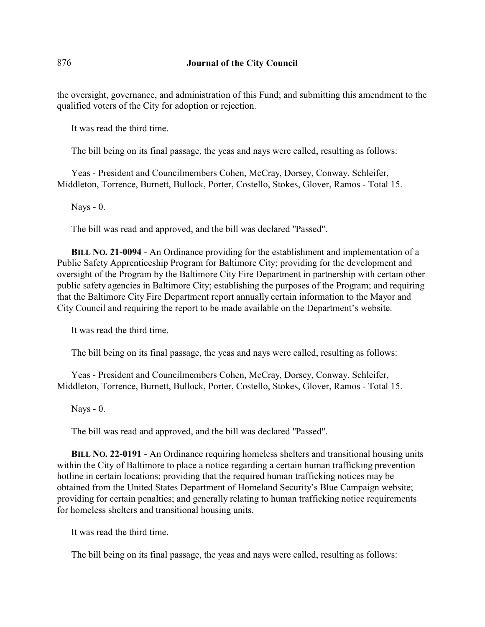the oversight, governance, and administration of this Fund; and submitting this amendment to the qualified voters of the City for adoption or rejection.

It was read the third time.

The bill being on its final passage, the yeas and nays were called, resulting as follows:

Yeas - President and Councilmembers Cohen, McCray, Dorsey, Conway, Schleifer, Middleton, Torrence, Burnett, Bullock, Porter, Costello, Stokes, Glover, Ramos - Total 15.

Nays - 0.

The bill was read and approved, and the bill was declared "Passed".

**BILL NO. 21-0094** - An Ordinance providing for the establishment and implementation of a Public Safety Apprenticeship Program for Baltimore City; providing for the development and oversight of the Program by the Baltimore City Fire Department in partnership with certain other public safety agencies in Baltimore City; establishing the purposes of the Program; and requiring that the Baltimore City Fire Department report annually certain information to the Mayor and City Council and requiring the report to be made available on the Department's website.

It was read the third time.

The bill being on its final passage, the yeas and nays were called, resulting as follows:

Yeas - President and Councilmembers Cohen, McCray, Dorsey, Conway, Schleifer, Middleton, Torrence, Burnett, Bullock, Porter, Costello, Stokes, Glover, Ramos - Total 15.

Nays - 0.

The bill was read and approved, and the bill was declared "Passed".

**BILL NO. 22-0191** - An Ordinance requiring homeless shelters and transitional housing units within the City of Baltimore to place a notice regarding a certain human trafficking prevention hotline in certain locations; providing that the required human trafficking notices may be obtained from the United States Department of Homeland Security's Blue Campaign website; providing for certain penalties; and generally relating to human trafficking notice requirements for homeless shelters and transitional housing units.

It was read the third time.

The bill being on its final passage, the yeas and nays were called, resulting as follows: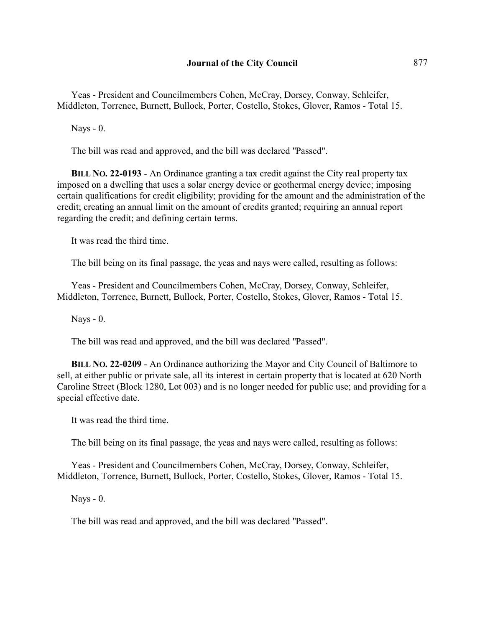Yeas - President and Councilmembers Cohen, McCray, Dorsey, Conway, Schleifer, Middleton, Torrence, Burnett, Bullock, Porter, Costello, Stokes, Glover, Ramos - Total 15.

Nays - 0.

The bill was read and approved, and the bill was declared "Passed".

**BILL NO. 22-0193** - An Ordinance granting a tax credit against the City real property tax imposed on a dwelling that uses a solar energy device or geothermal energy device; imposing certain qualifications for credit eligibility; providing for the amount and the administration of the credit; creating an annual limit on the amount of credits granted; requiring an annual report regarding the credit; and defining certain terms.

It was read the third time.

The bill being on its final passage, the yeas and nays were called, resulting as follows:

Yeas - President and Councilmembers Cohen, McCray, Dorsey, Conway, Schleifer, Middleton, Torrence, Burnett, Bullock, Porter, Costello, Stokes, Glover, Ramos - Total 15.

Nays - 0.

The bill was read and approved, and the bill was declared "Passed".

**BILL NO. 22-0209** - An Ordinance authorizing the Mayor and City Council of Baltimore to sell, at either public or private sale, all its interest in certain property that is located at 620 North Caroline Street (Block 1280, Lot 003) and is no longer needed for public use; and providing for a special effective date.

It was read the third time.

The bill being on its final passage, the yeas and nays were called, resulting as follows:

Yeas - President and Councilmembers Cohen, McCray, Dorsey, Conway, Schleifer, Middleton, Torrence, Burnett, Bullock, Porter, Costello, Stokes, Glover, Ramos - Total 15.

Nays - 0.

The bill was read and approved, and the bill was declared "Passed".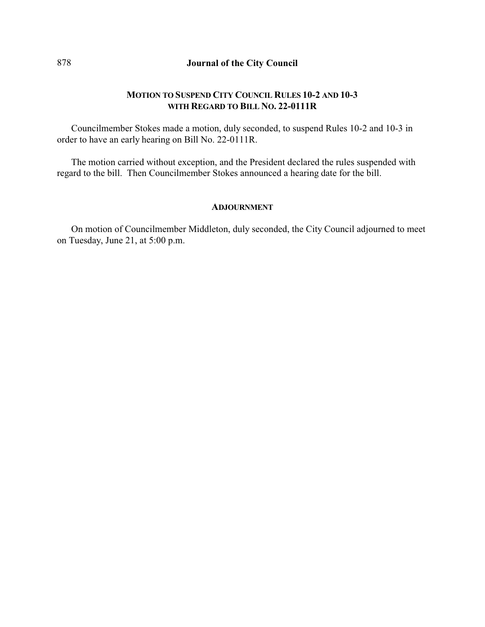# **MOTION TO SUSPEND CITY COUNCIL RULES 10-2 AND 10-3 WITH REGARD TO BILL NO. 22-0111R**

Councilmember Stokes made a motion, duly seconded, to suspend Rules 10-2 and 10-3 in order to have an early hearing on Bill No. 22-0111R.

The motion carried without exception, and the President declared the rules suspended with regard to the bill. Then Councilmember Stokes announced a hearing date for the bill.

#### **ADJOURNMENT**

On motion of Councilmember Middleton, duly seconded, the City Council adjourned to meet on Tuesday, June 21, at 5:00 p.m.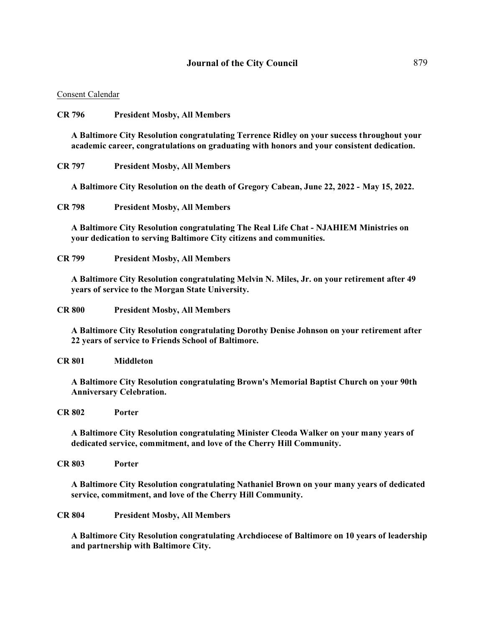#### **Journal of the City Council** 879

#### Consent Calendar

#### **CR 796 President Mosby, All Members**

**A Baltimore City Resolution congratulating Terrence Ridley on your success throughout your academic career, congratulations on graduating with honors and your consistent dedication.** 

**CR 797 President Mosby, All Members**

**A Baltimore City Resolution on the death of Gregory Cabean, June 22, 2022 - May 15, 2022.** 

**CR 798 President Mosby, All Members**

**A Baltimore City Resolution congratulating The Real Life Chat - NJAHIEM Ministries on your dedication to serving Baltimore City citizens and communities.** 

**CR 799 President Mosby, All Members**

**A Baltimore City Resolution congratulating Melvin N. Miles, Jr. on your retirement after 49 years of service to the Morgan State University.** 

**CR 800 President Mosby, All Members**

**A Baltimore City Resolution congratulating Dorothy Denise Johnson on your retirement after 22 years of service to Friends School of Baltimore.** 

**CR 801 Middleton**

**A Baltimore City Resolution congratulating Brown's Memorial Baptist Church on your 90th Anniversary Celebration.**

**CR 802 Porter**

**A Baltimore City Resolution congratulating Minister Cleoda Walker on your many years of dedicated service, commitment, and love of the Cherry Hill Community.** 

**CR 803 Porter**

**A Baltimore City Resolution congratulating Nathaniel Brown on your many years of dedicated service, commitment, and love of the Cherry Hill Community.**

**CR 804 President Mosby, All Members**

**A Baltimore City Resolution congratulating Archdiocese of Baltimore on 10 years of leadership and partnership with Baltimore City.**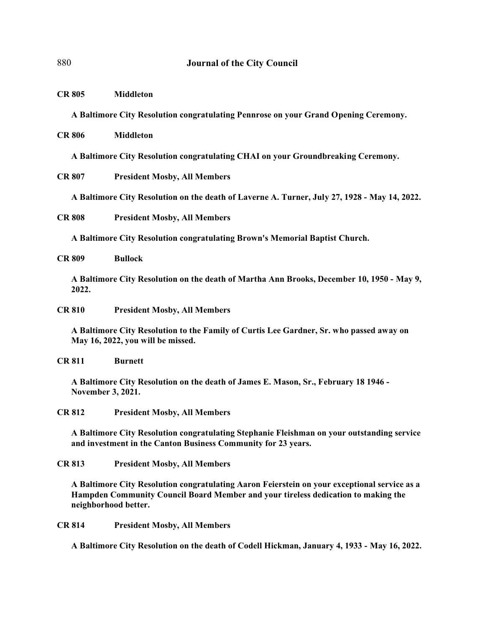**CR 805 Middleton**

**A Baltimore City Resolution congratulating Pennrose on your Grand Opening Ceremony.** 

**CR 806 Middleton**

**A Baltimore City Resolution congratulating CHAI on your Groundbreaking Ceremony.** 

**CR 807 President Mosby, All Members**

**A Baltimore City Resolution on the death of Laverne A. Turner, July 27, 1928 - May 14, 2022.** 

**CR 808 President Mosby, All Members**

**A Baltimore City Resolution congratulating Brown's Memorial Baptist Church.**

**CR 809 Bullock**

**A Baltimore City Resolution on the death of Martha Ann Brooks, December 10, 1950 - May 9, 2022.** 

**CR 810 President Mosby, All Members**

**A Baltimore City Resolution to the Family of Curtis Lee Gardner, Sr. who passed away on May 16, 2022, you will be missed.**

**CR 811 Burnett**

**A Baltimore City Resolution on the death of James E. Mason, Sr., February 18 1946 - November 3, 2021.** 

**CR 812 President Mosby, All Members**

**A Baltimore City Resolution congratulating Stephanie Fleishman on your outstanding service and investment in the Canton Business Community for 23 years.** 

**CR 813 President Mosby, All Members**

**A Baltimore City Resolution congratulating Aaron Feierstein on your exceptional service as a Hampden Community Council Board Member and your tireless dedication to making the neighborhood better.** 

**CR 814 President Mosby, All Members**

**A Baltimore City Resolution on the death of Codell Hickman, January 4, 1933 - May 16, 2022.**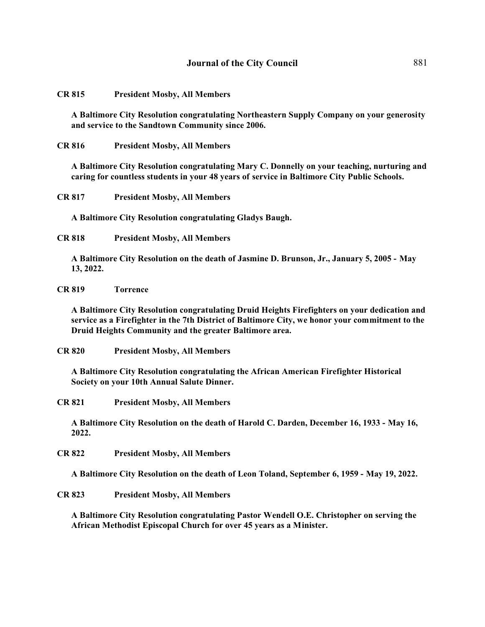#### **CR 815 President Mosby, All Members**

**A Baltimore City Resolution congratulating Northeastern Supply Company on your generosity and service to the Sandtown Community since 2006.** 

**CR 816 President Mosby, All Members**

**A Baltimore City Resolution congratulating Mary C. Donnelly on your teaching, nurturing and caring for countless students in your 48 years of service in Baltimore City Public Schools.** 

**CR 817 President Mosby, All Members**

**A Baltimore City Resolution congratulating Gladys Baugh.** 

**CR 818 President Mosby, All Members**

**A Baltimore City Resolution on the death of Jasmine D. Brunson, Jr., January 5, 2005 - May 13, 2022.** 

#### **CR 819 Torrence**

**A Baltimore City Resolution congratulating Druid Heights Firefighters on your dedication and service as a Firefighter in the 7th District of Baltimore City, we honor your commitment to the Druid Heights Community and the greater Baltimore area.** 

**CR 820 President Mosby, All Members**

**A Baltimore City Resolution congratulating the African American Firefighter Historical Society on your 10th Annual Salute Dinner.** 

**CR 821 President Mosby, All Members**

**A Baltimore City Resolution on the death of Harold C. Darden, December 16, 1933 - May 16, 2022.** 

**CR 822 President Mosby, All Members**

**A Baltimore City Resolution on the death of Leon Toland, September 6, 1959 - May 19, 2022.** 

**CR 823 President Mosby, All Members**

**A Baltimore City Resolution congratulating Pastor Wendell O.E. Christopher on serving the African Methodist Episcopal Church for over 45 years as a Minister.**